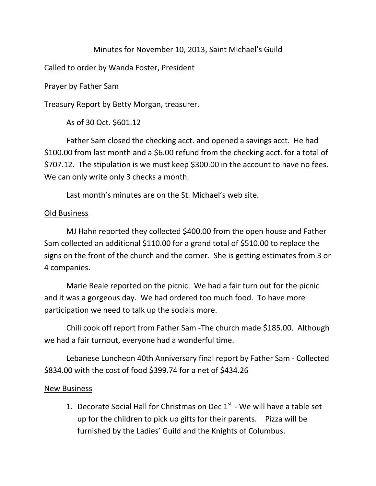## Minutes for November 10, 2013, Saint Michael's Guild

Called to order by Wanda Foster, President

Prayer by Father Sam

Treasury Report by Betty Morgan, treasurer.

As of 30 Oct. \$601.12

Father Sam closed the checking acct. and opened a savings acct. He had \$100.00 from last month and a \$6.00 refund from the checking acct. for a total of \$707.12. The stipulation is we must keep \$300.00 in the account to have no fees. We can only write only 3 checks a month.

Last month's minutes are on the St. Michael's web site.

## Old Business

MJ Hahn reported they collected \$400.00 from the open house and Father Sam collected an additional \$110.00 for a grand total of \$510.00 to replace the signs on the front of the church and the corner. She is getting estimates from 3 or 4 companies.

Marie Reale reported on the picnic. We had a fair turn out for the picnic and it was a gorgeous day. We had ordered too much food. To have more participation we need to talk up the socials more.

Chili cook off report from Father Sam -The church made \$185.00. Although we had a fair turnout, everyone had a wonderful time.

Lebanese Luncheon 40th Anniversary final report by Father Sam - Collected \$834.00 with the cost of food \$399.74 for a net of \$434.26

## New Business

1. Decorate Social Hall for Christmas on Dec  $1<sup>st</sup>$  - We will have a table set up for the children to pick up gifts for their parents. Pizza will be furnished by the Ladies' Guild and the Knights of Columbus.